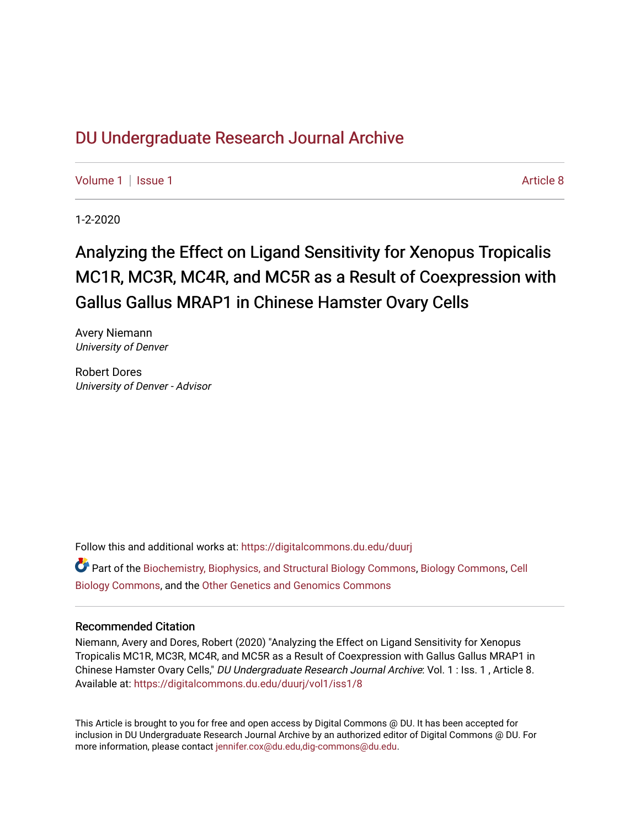# DU Undergr[aduate Research Journal Ar](https://digitalcommons.du.edu/duurj)chive

[Volume 1](https://digitalcommons.du.edu/duurj/vol1) | [Issue 1](https://digitalcommons.du.edu/duurj/vol1/iss1) Article 8

1-2-2020

# Analyzing the Effect on Ligand Sensitivity for Xenopus Tropicalis MC1R, MC3R, MC4R, and MC5R as a Result of Coexpression with Gallus Gallus MRAP1 in Chinese Hamster Ovary Cells

Avery Niemann University of Denver

Robert Dores University of Denver - Advisor

Follow this and additional works at: [https://digitalcommons.du.edu/duurj](https://digitalcommons.du.edu/duurj?utm_source=digitalcommons.du.edu%2Fduurj%2Fvol1%2Fiss1%2F8&utm_medium=PDF&utm_campaign=PDFCoverPages) 

Part of the [Biochemistry, Biophysics, and Structural Biology Commons](http://network.bepress.com/hgg/discipline/1?utm_source=digitalcommons.du.edu%2Fduurj%2Fvol1%2Fiss1%2F8&utm_medium=PDF&utm_campaign=PDFCoverPages), [Biology Commons,](http://network.bepress.com/hgg/discipline/41?utm_source=digitalcommons.du.edu%2Fduurj%2Fvol1%2Fiss1%2F8&utm_medium=PDF&utm_campaign=PDFCoverPages) [Cell](http://network.bepress.com/hgg/discipline/10?utm_source=digitalcommons.du.edu%2Fduurj%2Fvol1%2Fiss1%2F8&utm_medium=PDF&utm_campaign=PDFCoverPages) [Biology Commons](http://network.bepress.com/hgg/discipline/10?utm_source=digitalcommons.du.edu%2Fduurj%2Fvol1%2Fiss1%2F8&utm_medium=PDF&utm_campaign=PDFCoverPages), and the [Other Genetics and Genomics Commons](http://network.bepress.com/hgg/discipline/32?utm_source=digitalcommons.du.edu%2Fduurj%2Fvol1%2Fiss1%2F8&utm_medium=PDF&utm_campaign=PDFCoverPages)

### Recommended Citation

Niemann, Avery and Dores, Robert (2020) "Analyzing the Effect on Ligand Sensitivity for Xenopus Tropicalis MC1R, MC3R, MC4R, and MC5R as a Result of Coexpression with Gallus Gallus MRAP1 in Chinese Hamster Ovary Cells," DU Undergraduate Research Journal Archive: Vol. 1 : Iss. 1 , Article 8. Available at: [https://digitalcommons.du.edu/duurj/vol1/iss1/8](https://digitalcommons.du.edu/duurj/vol1/iss1/8?utm_source=digitalcommons.du.edu%2Fduurj%2Fvol1%2Fiss1%2F8&utm_medium=PDF&utm_campaign=PDFCoverPages) 

This Article is brought to you for free and open access by Digital Commons @ DU. It has been accepted for inclusion in DU Undergraduate Research Journal Archive by an authorized editor of Digital Commons @ DU. For more information, please contact [jennifer.cox@du.edu,dig-commons@du.edu.](mailto:jennifer.cox@du.edu,dig-commons@du.edu)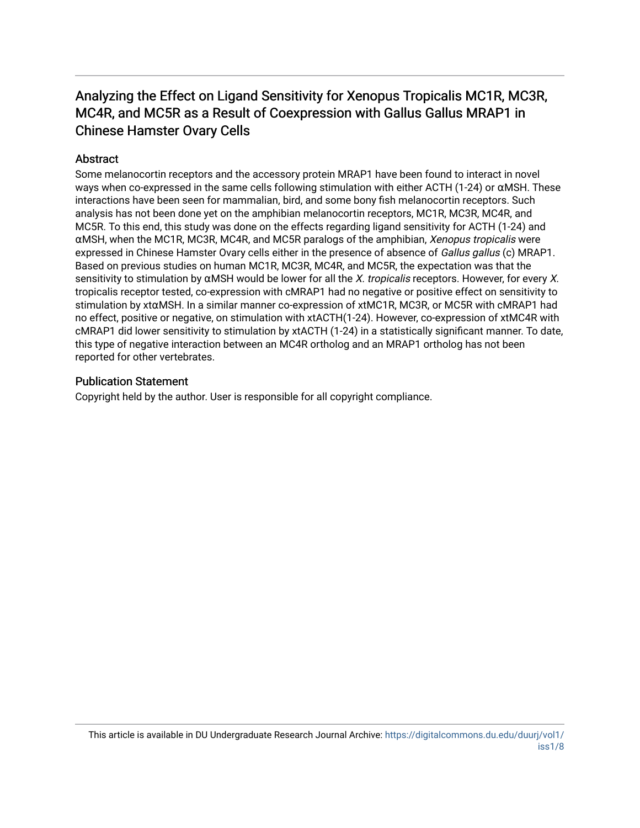## Analyzing the Effect on Ligand Sensitivity for Xenopus Tropicalis MC1R, MC3R, MC4R, and MC5R as a Result of Coexpression with Gallus Gallus MRAP1 in Chinese Hamster Ovary Cells

## **Abstract**

Some melanocortin receptors and the accessory protein MRAP1 have been found to interact in novel ways when co-expressed in the same cells following stimulation with either ACTH (1-24) or αMSH. These interactions have been seen for mammalian, bird, and some bony fish melanocortin receptors. Such analysis has not been done yet on the amphibian melanocortin receptors, MC1R, MC3R, MC4R, and MC5R. To this end, this study was done on the effects regarding ligand sensitivity for ACTH (1-24) and αMSH, when the MC1R, MC3R, MC4R, and MC5R paralogs of the amphibian, Xenopus tropicalis were expressed in Chinese Hamster Ovary cells either in the presence of absence of Gallus gallus (c) MRAP1. Based on previous studies on human MC1R, MC3R, MC4R, and MC5R, the expectation was that the sensitivity to stimulation by  $\alpha$ MSH would be lower for all the X. tropicalis receptors. However, for every X. tropicalis receptor tested, co-expression with cMRAP1 had no negative or positive effect on sensitivity to stimulation by xtαMSH. In a similar manner co-expression of xtMC1R, MC3R, or MC5R with cMRAP1 had no effect, positive or negative, on stimulation with xtACTH(1-24). However, co-expression of xtMC4R with cMRAP1 did lower sensitivity to stimulation by xtACTH (1-24) in a statistically significant manner. To date, this type of negative interaction between an MC4R ortholog and an MRAP1 ortholog has not been reported for other vertebrates.

### Publication Statement

Copyright held by the author. User is responsible for all copyright compliance.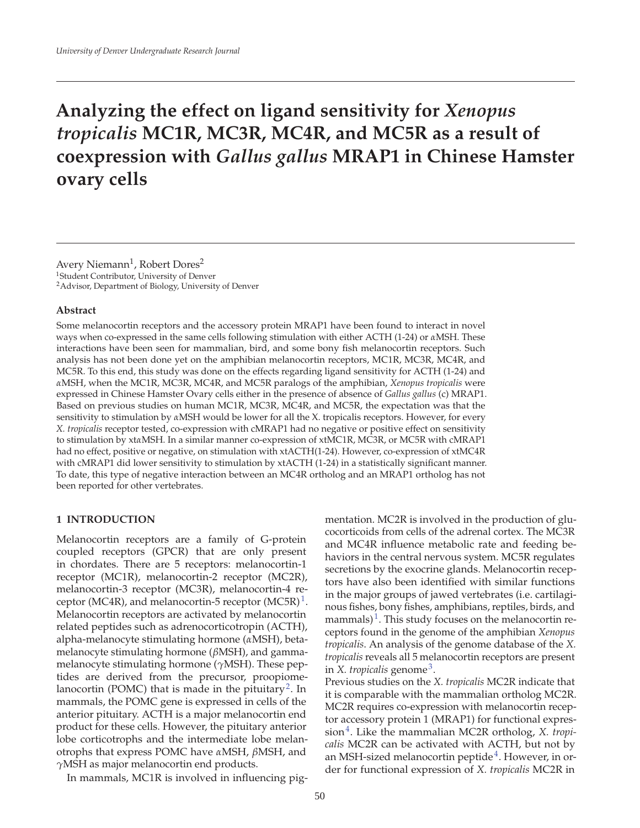# **Analyzing the effect on ligand sensitivity for** *Xenopus tropicalis* **MC1R, MC3R, MC4R, and MC5R as a result of coexpression with** *Gallus gallus* **MRAP1 in Chinese Hamster ovary cells**

Avery Niemann<sup>1</sup>, Robert Dores<sup>2</sup> 1Student Contributor, University of Denver 2Advisor, Department of Biology, University of Denver

#### **Abstract**

Some melanocortin receptors and the accessory protein MRAP1 have been found to interact in novel ways when co-expressed in the same cells following stimulation with either ACTH (1-24) or *α*MSH. These interactions have been seen for mammalian, bird, and some bony fish melanocortin receptors. Such analysis has not been done yet on the amphibian melanocortin receptors, MC1R, MC3R, MC4R, and MC5R. To this end, this study was done on the effects regarding ligand sensitivity for ACTH (1-24) and *α*MSH, when the MC1R, MC3R, MC4R, and MC5R paralogs of the amphibian, *Xenopus tropicalis* were expressed in Chinese Hamster Ovary cells either in the presence of absence of *Gallus gallus* (c) MRAP1. Based on previous studies on human MC1R, MC3R, MC4R, and MC5R, the expectation was that the sensitivity to stimulation by *α*MSH would be lower for all the X. tropicalis receptors. However, for every *X. tropicalis* receptor tested, co-expression with cMRAP1 had no negative or positive effect on sensitivity to stimulation by xt*α*MSH. In a similar manner co-expression of xtMC1R, MC3R, or MC5R with cMRAP1 had no effect, positive or negative, on stimulation with xtACTH(1-24). However, co-expression of xtMC4R with cMRAP1 did lower sensitivity to stimulation by xtACTH (1-24) in a statistically significant manner. To date, this type of negative interaction between an MC4R ortholog and an MRAP1 ortholog has not been reported for other vertebrates.

#### **1 INTRODUCTION**

Melanocortin receptors are a family of G-protein coupled receptors (GPCR) that are only present in chordates. There are 5 receptors: melanocortin-1 receptor (MC1R), melanocortin-2 receptor (MC2R), melanocortin-3 receptor (MC3R), melanocortin-4 receptor (MC4R), and melanocortin-5 receptor (MC5R)<sup>1</sup>. Melanocortin receptors are activated by melanocortin related peptides such as adrenocorticotropin (ACTH), alpha-melanocyte stimulating hormone (*α*MSH), betamelanocyte stimulating hormone (*β*MSH), and gammamelanocyte stimulating hormone (*γ*MSH). These peptides are derived from the precursor, proopiomelanocortin (POMC) that is made in the pituitary<sup>2</sup>. In mammals, the POMC gene is expressed in cells of the anterior pituitary. ACTH is a major melanocortin end product for these cells. However, the pituitary anterior lobe corticotrophs and the intermediate lobe melanotrophs that express POMC have *α*MSH, *β*MSH, and *γ*MSH as major melanocortin end products.

In mammals, MC1R is involved in influencing pig-

mentation. MC2R is involved in the production of glucocorticoids from cells of the adrenal cortex. The MC3R and MC4R influence metabolic rate and feeding behaviors in the central nervous system. MC5R regulates secretions by the exocrine glands. Melanocortin receptors have also been identified with similar functions in the major groups of jawed vertebrates (i.e. cartilaginous fishes, bony fishes, amphibians, reptiles, birds, and mammals)<sup>1</sup>. This study focuses on the melanocortin receptors found in the genome of the amphibian *Xenopus tropicalis*. An analysis of the genome database of the *X. tropicalis* reveals all 5 melanocortin receptors are present in *X. tropicalis* genome<sup>3</sup>.

Previous studies on the *X. tropicalis* MC2R indicate that it is comparable with the mammalian ortholog MC2R. MC2R requires co-expression with melanocortin receptor accessory protein 1 (MRAP1) for functional expression<sup>4</sup>. Like the mammalian MC2R ortholog, *X. tropicalis* MC2R can be activated with ACTH, but not by an MSH-sized melanocortin peptide<sup>4</sup>. However, in order for functional expression of *X. tropicalis* MC2R in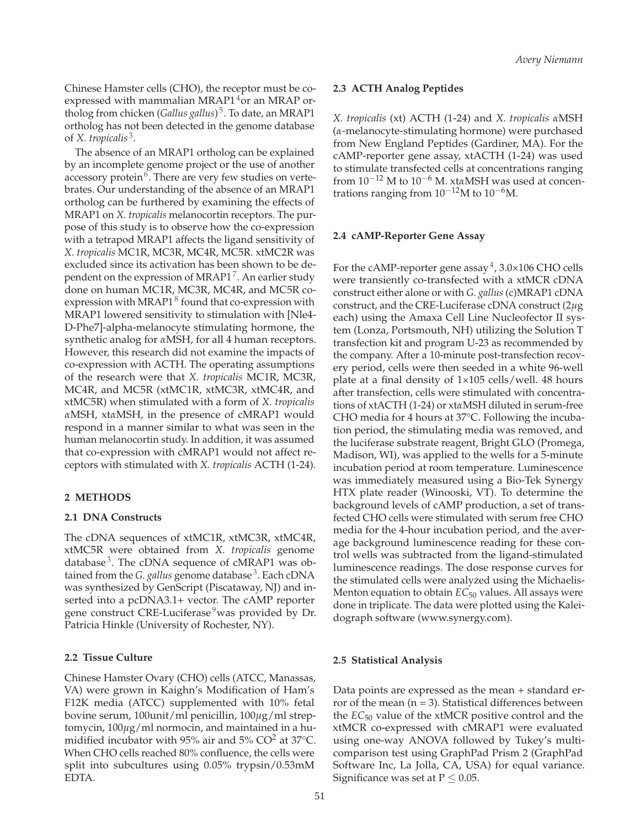Chinese Hamster cells (CHO), the receptor must be coexpressed with mammalian MRAP1 $4$ or an MRAP ortholog from chicken (*Gallus gallus*) 5. To date, an MRAP1 ortholog has not been detected in the genome database of *X. tropicalis* 3.

The absence of an MRAP1 ortholog can be explained by an incomplete genome project or the use of another accessory protein $6$ . There are very few studies on vertebrates. Our understanding of the absence of an MRAP1 ortholog can be furthered by examining the effects of MRAP1 on *X. tropicalis* melanocortin receptors. The purpose of this study is to observe how the co-expression with a tetrapod MRAP1 affects the ligand sensitivity of *X. tropicalis* MC1R, MC3R, MC4R, MC5R. xtMC2R was excluded since its activation has been shown to be dependent on the expression of MRAP1 $^7$ . An earlier study done on human MC1R, MC3R, MC4R, and MC5R coexpression with MRAP1 $8$  found that co-expression with MRAP1 lowered sensitivity to stimulation with [Nle4- D-Phe7]-alpha-melanocyte stimulating hormone, the synthetic analog for *α*MSH, for all 4 human receptors. However, this research did not examine the impacts of co-expression with ACTH. The operating assumptions of the research were that *X. tropicalis* MC1R, MC3R, MC4R, and MC5R (xtMC1R, xtMC3R, xtMC4R, and xtMC5R) when stimulated with a form of *X. tropicalis α*MSH, xt*α*MSH, in the presence of cMRAP1 would respond in a manner similar to what was seen in the human melanocortin study. In addition, it was assumed that co-expression with cMRAP1 would not affect receptors with stimulated with *X. tropicalis* ACTH (1-24).

#### **2 METHODS**

#### **2.1 DNA Constructs**

The cDNA sequences of xtMC1R, xtMC3R, xtMC4R, xtMC5R were obtained from *X. tropicalis* genome database<sup>3</sup>. The cDNA sequence of cMRAP1 was obtained from the *G. gallus* genome database<sup>3</sup>. Each cDNA was synthesized by GenScript (Piscataway, NJ) and inserted into a pcDNA3.1+ vector. The cAMP reporter gene construct CRE-Luciferase<sup>9</sup> was provided by Dr. Patricia Hinkle (University of Rochester, NY).

#### **2.2 Tissue Culture**

Chinese Hamster Ovary (CHO) cells (ATCC, Manassas, VA) were grown in Kaighn's Modification of Ham's F12K media (ATCC) supplemented with 10% fetal bovine serum, 100unit/ml penicillin, 100*μ*g/ml streptomycin, 100*μ*g/ml normocin, and maintained in a humidified incubator with 95% air and 5%  $CO<sup>2</sup>$  at 37°C. When CHO cells reached 80% confluence, the cells were split into subcultures using 0.05% trypsin/0.53mM EDTA.

#### **2.3 ACTH Analog Peptides**

*X. tropicalis* (xt) ACTH (1-24) and *X. tropicalis α*MSH (*α*-melanocyte-stimulating hormone) were purchased from New England Peptides (Gardiner, MA). For the cAMP-reporter gene assay, xtACTH (1-24) was used to stimulate transfected cells at concentrations ranging from 10−<sup>12</sup> M to 10−<sup>6</sup> M. xt*α*MSH was used at concentrations ranging from  $10^{-12}$ M to  $10^{-6}$ M.

#### **2.4 cAMP-Reporter Gene Assay**

For the cAMP-reporter gene assay $4$ , 3.0×106 CHO cells were transiently co-transfected with a xtMCR cDNA construct either alone or with *G. gallus* (c)MRAP1 cDNA construct, and the CRE-Luciferase cDNA construct (2*μ*g each) using the Amaxa Cell Line Nucleofector II system (Lonza, Portsmouth, NH) utilizing the Solution T transfection kit and program U-23 as recommended by the company. After a 10-minute post-transfection recovery period, cells were then seeded in a white 96-well plate at a final density of  $1\times105$  cells/well. 48 hours after transfection, cells were stimulated with concentrations of xtACTH (1-24) or xt*α*MSH diluted in serum-free CHO media for 4 hours at 37°C. Following the incubation period, the stimulating media was removed, and the luciferase substrate reagent, Bright GLO (Promega, Madison, WI), was applied to the wells for a 5-minute incubation period at room temperature. Luminescence was immediately measured using a Bio-Tek Synergy HTX plate reader (Winooski, VT). To determine the background levels of cAMP production, a set of transfected CHO cells were stimulated with serum free CHO media for the 4-hour incubation period, and the average background luminescence reading for these control wells was subtracted from the ligand-stimulated luminescence readings. The dose response curves for the stimulated cells were analyzed using the Michaelis-Menton equation to obtain *EC*<sub>50</sub> values. All assays were done in triplicate. The data were plotted using the Kaleidograph software (www.synergy.com).

#### **2.5 Statistical Analysis**

Data points are expressed as the mean + standard error of the mean  $(n = 3)$ . Statistical differences between the *EC*<sup>50</sup> value of the xtMCR positive control and the xtMCR co-expressed with cMRAP1 were evaluated using one-way ANOVA followed by Tukey's multicomparison test using GraphPad Prism 2 (GraphPad Software Inc, La Jolla, CA, USA) for equal variance. Significance was set at  $P \leq 0.05$ .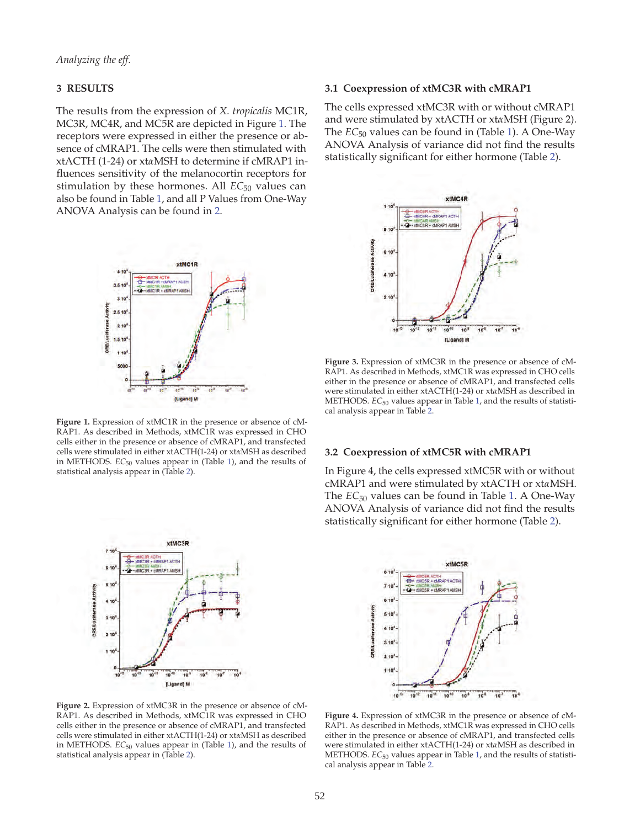#### **3 RESULTS**

The results from the expression of *X. tropicalis* MC1R, MC3R, MC4R, and MC5R are depicted in Figure 1. The receptors were expressed in either the presence or absence of cMRAP1. The cells were then stimulated with xtACTH (1-24) or xt*α*MSH to determine if cMRAP1 influences sensitivity of the melanocortin receptors for stimulation by these hormones. All *EC*<sub>50</sub> values can also be found in Table 1, and all P Values from One-Way ANOVA Analysis can be found in 2.



**Figure 1.** Expression of xtMC1R in the presence or absence of cM-RAP1. As described in Methods, xtMC1R was expressed in CHO cells either in the presence or absence of cMRAP1, and transfected cells were stimulated in either xtACTH(1-24) or xt*α*MSH as described in METHODS. *EC*<sup>50</sup> values appear in (Table 1), and the results of statistical analysis appear in (Table 2).



#### **3.1 Coexpression of xtMC3R with cMRAP1**

The cells expressed xtMC3R with or without cMRAP1 and were stimulated by xtACTH or xt*α*MSH (Figure 2). The *EC*<sup>50</sup> values can be found in (Table 1). A One-Way ANOVA Analysis of variance did not find the results statistically significant for either hormone (Table 2).



**Figure 3.** Expression of xtMC3R in the presence or absence of cM-RAP1. As described in Methods, xtMC1R was expressed in CHO cells either in the presence or absence of cMRAP1, and transfected cells were stimulated in either xtACTH(1-24) or xt*α*MSH as described in METHODS. *EC*<sup>50</sup> values appear in Table 1, and the results of statistical analysis appear in Table 2.

#### **3.2 Coexpression of xtMC5R with cMRAP1**

In Figure 4, the cells expressed xtMC5R with or without cMRAP1 and were stimulated by xtACTH or xt*α*MSH. The *EC*<sub>50</sub> values can be found in Table 1. A One-Way ANOVA Analysis of variance did not find the results statistically significant for either hormone (Table 2).



**Figure 2.** Expression of xtMC3R in the presence or absence of cM-RAP1. As described in Methods, xtMC1R was expressed in CHO cells either in the presence or absence of cMRAP1, and transfected cells were stimulated in either xtACTH(1-24) or xt*α*MSH as described in METHODS. *EC*<sup>50</sup> values appear in (Table 1), and the results of statistical analysis appear in (Table 2).

**Figure 4.** Expression of xtMC3R in the presence or absence of cM-RAP1. As described in Methods, xtMC1R was expressed in CHO cells either in the presence or absence of cMRAP1, and transfected cells were stimulated in either xtACTH(1-24) or xt*α*MSH as described in METHODS. *EC*<sup>50</sup> values appear in Table 1, and the results of statistical analysis appear in Table 2.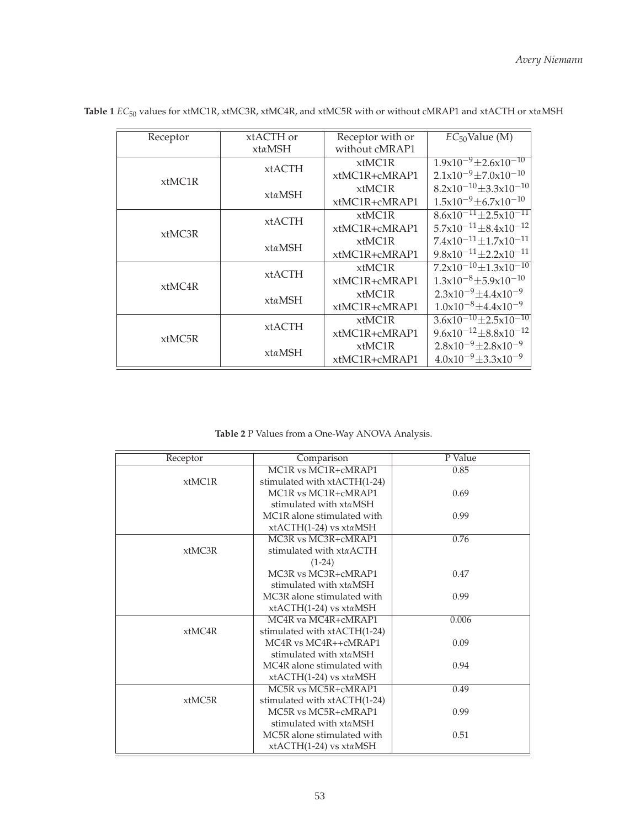| Receptor | xtACTH or     | Receptor with or | $EC_{50}$ Value (M)                           |
|----------|---------------|------------------|-----------------------------------------------|
|          | xtαMSH        | without cMRAP1   |                                               |
| xtMC1R   | <b>xtACTH</b> | xtMC1R           | $1.9x10^{-9} \pm 2.6x10^{-10}$                |
|          |               | xtMC1R+cMRAP1    | $2.1x10^{-9} \pm 7.0x10^{-10}$                |
|          | xtαMSH        | $x$ tMC1R        | $8.2 \times 10^{-10} \pm 3.3 \times 10^{-10}$ |
|          |               | xtMC1R+cMRAP1    | $1.5x10^{-9} \pm 6.7x10^{-10}$                |
| xtMC3R   | <b>xtACTH</b> | $x$ tMC1R        | $8.\overline{6x10^{-11} \pm 2.5x10^{-11}}$    |
|          |               | $xtMC1R+cMRAP1$  | $5.7 \times 10^{-11} \pm 8.4 \times 10^{-12}$ |
|          | xtαMSH        | $x$ tMC1R        | $7.4 \times 10^{-11} \pm 1.7 \times 10^{-11}$ |
|          |               | xtMC1R+cMRAP1    | $9.8 \times 10^{-11} \pm 2.2 \times 10^{-11}$ |
| xtMC4R   | <b>xtACTH</b> | $x$ tMC1R        | $7.2 \times 10^{-10} \pm 1.3 \times 10^{-10}$ |
|          |               | $xtMC1R+cMRAP1$  | $1.3 \times 10^{-8} \pm 5.9 \times 10^{-10}$  |
|          | xtαMSH        | $x$ tMC1R        | $2.3 \times 10^{-9} \pm 4.4 \times 10^{-9}$   |
|          |               | $xtMC1R+cMRAP1$  | $1.0x10^{-8} \pm 4.4x10^{-9}$                 |
| xtMC5R   | <b>xtACTH</b> | $x$ tMC1R        | $3.6 \times 10^{-10} \pm 2.5 \times 10^{-10}$ |
|          |               | $xtMC1R+cMRAP1$  | $9.6 \times 10^{-12} \pm 8.8 \times 10^{-12}$ |
|          | xtαMSH        | xtMC1R           | $2.8 \times 10^{-9} \pm 2.8 \times 10^{-9}$   |
|          |               | xtMC1R+cMRAP1    | $4.0x10^{-9} \pm 3.3x10^{-9}$                 |

**Table 1** *EC*<sup>50</sup> values for xtMC1R, xtMC3R, xtMC4R, and xtMC5R with or without cMRAP1 and xtACTH or xt*α*MSH

**Table 2** P Values from a One-Way ANOVA Analysis.

| Receptor  | Comparison                                                | P Value |
|-----------|-----------------------------------------------------------|---------|
|           | MC1R vs MC1R+cMRAP1                                       | 0.85    |
| xtMC1R    | stimulated with xtACTH(1-24)                              |         |
|           | MC <sub>1</sub> R vs MC <sub>1</sub> R+cMRAP <sub>1</sub> | 0.69    |
|           | stimulated with xtaMSH                                    |         |
|           | MC <sub>1</sub> R alone stimulated with                   | 0.99    |
|           | $xtACTH(1-24)$ vs $xtaMSH$                                |         |
|           | MC3R vs MC3R+cMRAP1                                       | 0.76    |
| xtMC3R    | stimulated with xtaACTH                                   |         |
|           | $(1-24)$                                                  |         |
|           | MC3R vs MC3R+cMRAP1                                       | 0.47    |
|           | stimulated with xtaMSH                                    |         |
|           | MC <sub>3</sub> R alone stimulated with                   | 0.99    |
|           | $xtACTH(1-24)$ vs $xtaMSH$                                |         |
|           | MC4R va MC4R+cMRAP1                                       | 0.006   |
| $x$ tMC4R | stimulated with xtACTH(1-24)                              |         |
|           | MC4R vs MC4R++cMRAP1                                      | 0.09    |
|           | stimulated with xtaMSH                                    |         |
|           | MC4R alone stimulated with                                | 0.94    |
|           | xtACTH(1-24) vs xtaMSH                                    |         |
|           | MC5R vs MC5R+cMRAP1                                       | 0.49    |
| xtMC5R    | stimulated with xtACTH(1-24)                              |         |
|           | MC5R vs MC5R+cMRAP1                                       | 0.99    |
|           | stimulated with xtaMSH                                    |         |
|           | MC5R alone stimulated with                                | 0.51    |
|           | $xtACTH(1-24)$ vs $xtaMSH$                                |         |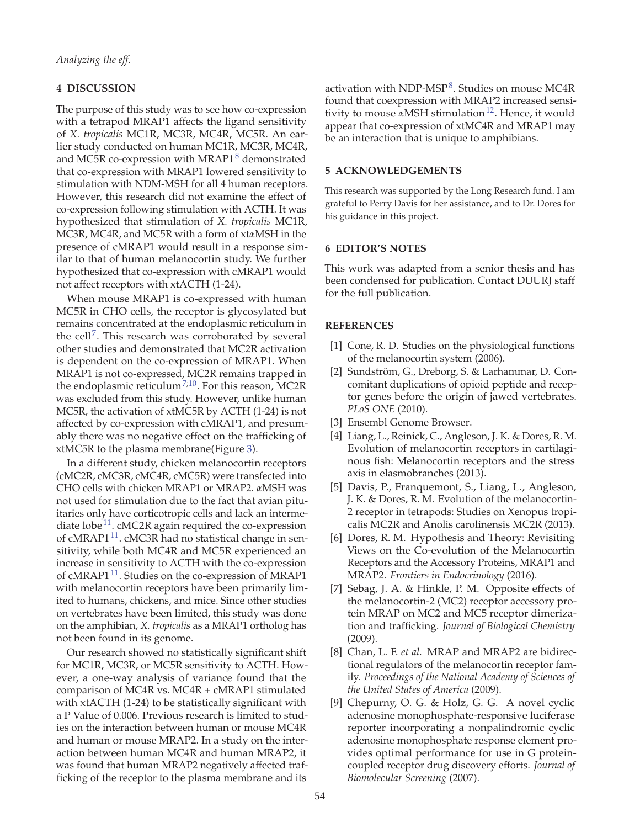#### **4 DISCUSSION**

The purpose of this study was to see how co-expression with a tetrapod MRAP1 affects the ligand sensitivity of *X. tropicalis* MC1R, MC3R, MC4R, MC5R. An earlier study conducted on human MC1R, MC3R, MC4R, and MC5R co-expression with MRAP1 $\textdegree$  demonstrated that co-expression with MRAP1 lowered sensitivity to stimulation with NDM-MSH for all 4 human receptors. However, this research did not examine the effect of co-expression following stimulation with ACTH. It was hypothesized that stimulation of *X. tropicalis* MC1R, MC3R, MC4R, and MC5R with a form of xt*α*MSH in the presence of cMRAP1 would result in a response similar to that of human melanocortin study. We further hypothesized that co-expression with cMRAP1 would not affect receptors with xtACTH (1-24).

When mouse MRAP1 is co-expressed with human MC5R in CHO cells, the receptor is glycosylated but remains concentrated at the endoplasmic reticulum in the cell<sup>7</sup>. This research was corroborated by several other studies and demonstrated that MC2R activation is dependent on the co-expression of MRAP1. When MRAP1 is not co-expressed, MC2R remains trapped in the endoplasmic reticulum<sup>7;10</sup>. For this reason, MC2R was excluded from this study. However, unlike human MC5R, the activation of xtMC5R by ACTH (1-24) is not affected by co-expression with cMRAP1, and presumably there was no negative effect on the trafficking of xtMC5R to the plasma membrane(Figure 3).

In a different study, chicken melanocortin receptors (cMC2R, cMC3R, cMC4R, cMC5R) were transfected into CHO cells with chicken MRAP1 or MRAP2. *α*MSH was not used for stimulation due to the fact that avian pituitaries only have corticotropic cells and lack an intermediate lobe<sup>11</sup>. cMC2R again required the co-expression of cMRAP1<sup>11</sup>. cMC3R had no statistical change in sensitivity, while both MC4R and MC5R experienced an increase in sensitivity to ACTH with the co-expression of cMRAP1<sup>11</sup>. Studies on the co-expression of MRAP1 with melanocortin receptors have been primarily limited to humans, chickens, and mice. Since other studies on vertebrates have been limited, this study was done on the amphibian, *X. tropicalis* as a MRAP1 ortholog has not been found in its genome.

Our research showed no statistically significant shift for MC1R, MC3R, or MC5R sensitivity to ACTH. However, a one-way analysis of variance found that the comparison of MC4R vs. MC4R + cMRAP1 stimulated with xtACTH (1-24) to be statistically significant with a P Value of 0.006. Previous research is limited to studies on the interaction between human or mouse MC4R and human or mouse MRAP2. In a study on the interaction between human MC4R and human MRAP2, it was found that human MRAP2 negatively affected trafficking of the receptor to the plasma membrane and its

activation with NDP-MSP<sup>8</sup>. Studies on mouse MC4R found that coexpression with MRAP2 increased sensitivity to mouse  $\alpha$ MSH stimulation<sup>12</sup>. Hence, it would appear that co-expression of xtMC4R and MRAP1 may be an interaction that is unique to amphibians.

#### **5 ACKNOWLEDGEMENTS**

This research was supported by the Long Research fund. I am grateful to Perry Davis for her assistance, and to Dr. Dores for his guidance in this project.

#### **6 EDITOR'S NOTES**

This work was adapted from a senior thesis and has been condensed for publication. Contact DUURJ staff for the full publication.

#### **REFERENCES**

- [1] Cone, R. D. Studies on the physiological functions of the melanocortin system (2006).
- [2] Sundström, G., Dreborg, S. & Larhammar, D. Concomitant duplications of opioid peptide and receptor genes before the origin of jawed vertebrates. *PLoS ONE* (2010).
- [3] Ensembl Genome Browser.
- [4] Liang, L., Reinick, C., Angleson, J. K. & Dores, R. M. Evolution of melanocortin receptors in cartilaginous fish: Melanocortin receptors and the stress axis in elasmobranches (2013).
- [5] Davis, P., Franquemont, S., Liang, L., Angleson, J. K. & Dores, R. M. Evolution of the melanocortin-2 receptor in tetrapods: Studies on Xenopus tropicalis MC2R and Anolis carolinensis MC2R (2013).
- [6] Dores, R. M. Hypothesis and Theory: Revisiting Views on the Co-evolution of the Melanocortin Receptors and the Accessory Proteins, MRAP1 and MRAP2. *Frontiers in Endocrinology* (2016).
- [7] Sebag, J. A. & Hinkle, P. M. Opposite effects of the melanocortin-2 (MC2) receptor accessory protein MRAP on MC2 and MC5 receptor dimerization and trafficking. *Journal of Biological Chemistry* (2009).
- [8] Chan, L. F. *et al.* MRAP and MRAP2 are bidirectional regulators of the melanocortin receptor family. *Proceedings of the National Academy of Sciences of the United States of America* (2009).
- [9] Chepurny, O. G. & Holz, G. G. A novel cyclic adenosine monophosphate-responsive luciferase reporter incorporating a nonpalindromic cyclic adenosine monophosphate response element provides optimal performance for use in G proteincoupled receptor drug discovery efforts. *Journal of Biomolecular Screening* (2007).